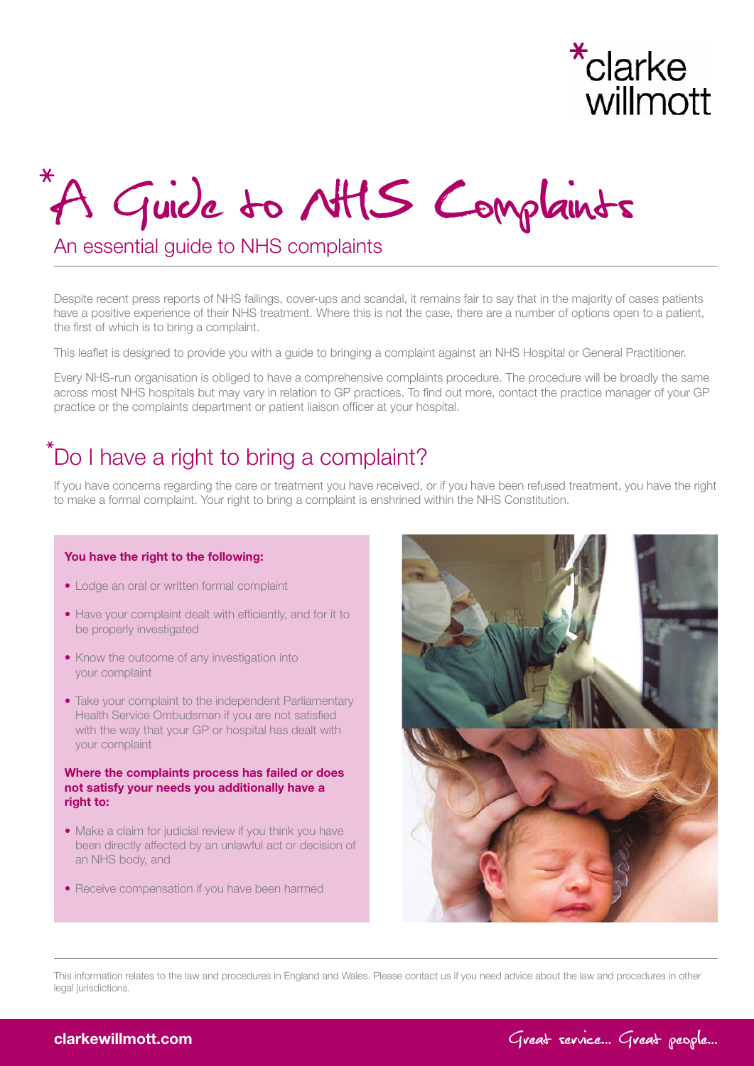

# A Guide to NHS Complaints

### An essential guide to NHS complaints

Despite recent press reports of NHS failings, cover-ups and scandal, it remains fair to say that in the majority of cases patients have a positive experience of their NHS treatment. Where this is not the case, there are a number of options open to a patient, the first of which is to bring a complaint.

This leaflet is designed to provide you with a guide to bringing a complaint against an NHS Hospital or General Practitioner.

Every NHS-run organisation is obliged to have a comprehensive complaints procedure. The procedure will be broadly the same across most NHS hospitals but may vary in relation to GP practices. To find out more, contact the practice manager of your GP practice or the complaints department or patient liaison officer at your hospital.

### Do I have a right to bring a complaint?

If you have concerns regarding the care or treatment you have received, or if you have been refused treatment, you have the right to make a formal complaint. Your right to bring a complaint is enshrined within the NHS Constitution.

### You have the right to the following:

- Lodge an oral or written formal complaint
- Have your complaint dealt with efficiently, and for it to be properly investigated
- Know the outcome of any investigation into your complaint
- Take your complaint to the independent Parliamentary Health Service Ombudsman if you are not satisfied with the way that your GP or hospital has dealt with your complaint

### Where the complaints process has failed or does not satisfy your needs you additionally have a right to:

- Make a claim for judicial review if you think you have been directly affected by an unlawful act or decision of an NHS body, and
- Receive compensation if you have been harmed



This information relates to the law and procedures in England and Wales. Please contact us if you need advice about the law and procedures in other legal jurisdictions.

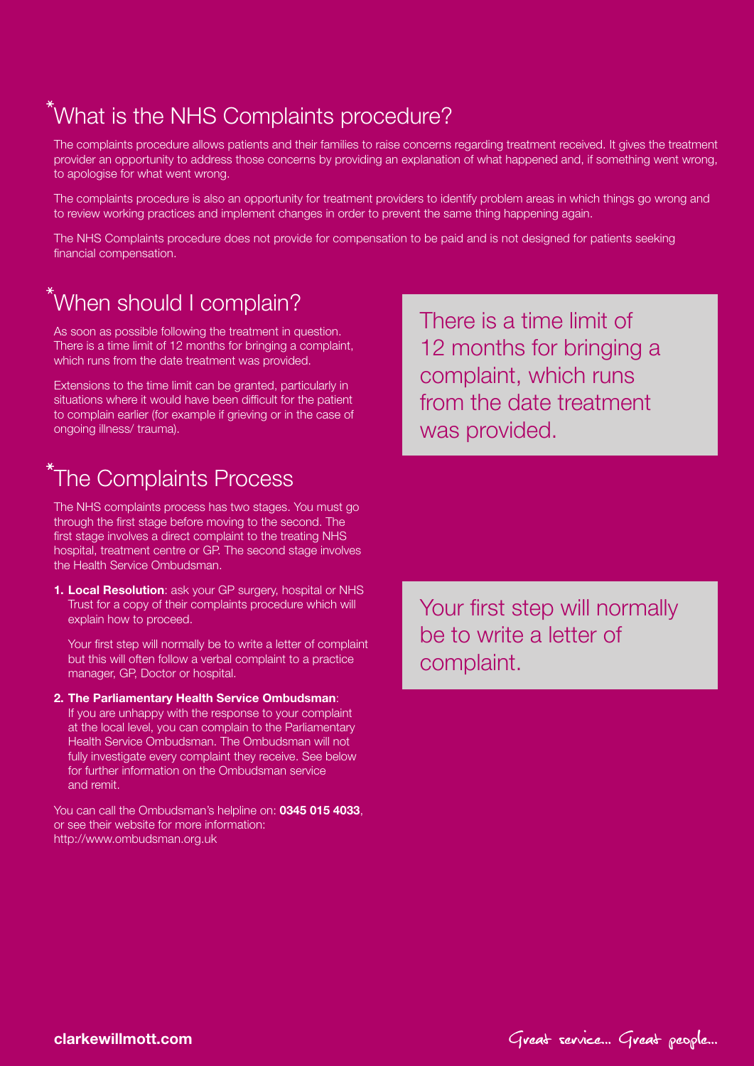## What is the NHS Complaints procedure?

The complaints procedure allows patients and their families to raise concerns regarding treatment received. It gives the treatment provider an opportunity to address those concerns by providing an explanation of what happened and, if something went wrong, to apologise for what went wrong.

The complaints procedure is also an opportunity for treatment providers to identify problem areas in which things go wrong and to review working practices and implement changes in order to prevent the same thing happening again.

The NHS Complaints procedure does not provide for compensation to be paid and is not designed for patients seeking financial compensation.

## When should I complain?

As soon as possible following the treatment in question. There is a time limit of 12 months for bringing a complaint, which runs from the date treatment was provided.

Extensions to the time limit can be granted, particularly in situations where it would have been difficult for the patient to complain earlier (for example if grieving or in the case of ongoing illness/ trauma).

## The Complaints Process

The NHS complaints process has two stages. You must go through the first stage before moving to the second. The first stage involves a direct complaint to the treating NHS hospital, treatment centre or GP. The second stage involves the Health Service Ombudsman.

1. Local Resolution: ask your GP surgery, hospital or NHS Trust for a copy of their complaints procedure which will explain how to proceed.

 Your first step will normally be to write a letter of complaint but this will often follow a verbal complaint to a practice manager, GP, Doctor or hospital.

### 2. The Parliamentary Health Service Ombudsman:

If you are unhappy with the response to your complaint at the local level, you can complain to the Parliamentary Health Service Ombudsman. The Ombudsman will not fully investigate every complaint they receive. See below for further information on the Ombudsman service and remit.

You can call the Ombudsman's helpline on: 0345 015 4033, or see their website for more information: http://www.ombudsman.org.uk

There is a time limit of 12 months for bringing a complaint, which runs from the date treatment was provided.

Your first step will normally be to write a letter of complaint.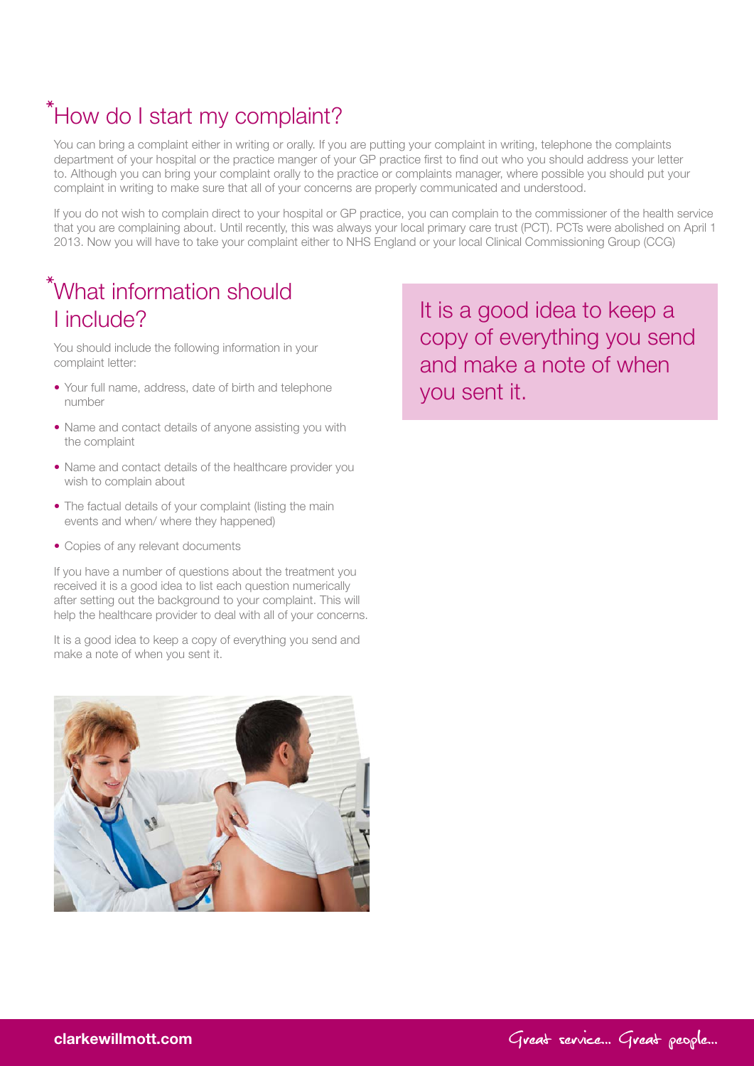## <sup>T</sup>How do I start my complaint?

You can bring a complaint either in writing or orally. If you are putting your complaint in writing, telephone the complaints department of your hospital or the practice manger of your GP practice first to find out who you should address your letter to. Although you can bring your complaint orally to the practice or complaints manager, where possible you should put your complaint in writing to make sure that all of your concerns are properly communicated and understood.

If you do not wish to complain direct to your hospital or GP practice, you can complain to the commissioner of the health service that you are complaining about. Until recently, this was always your local primary care trust (PCT). PCTs were abolished on April 1 2013. Now you will have to take your complaint either to NHS England or your local Clinical Commissioning Group (CCG)

### What information should I include?

You should include the following information in your complaint letter:

- Your full name, address, date of birth and telephone number
- Name and contact details of anyone assisting you with the complaint
- Name and contact details of the healthcare provider you wish to complain about
- The factual details of your complaint (listing the main events and when/ where they happened)
- Copies of any relevant documents

If you have a number of questions about the treatment you received it is a good idea to list each question numerically after setting out the background to your complaint. This will help the healthcare provider to deal with all of your concerns.

It is a good idea to keep a copy of everything you send and make a note of when you sent it.



It is a good idea to keep a copy of everything you send and make a note of when you sent it.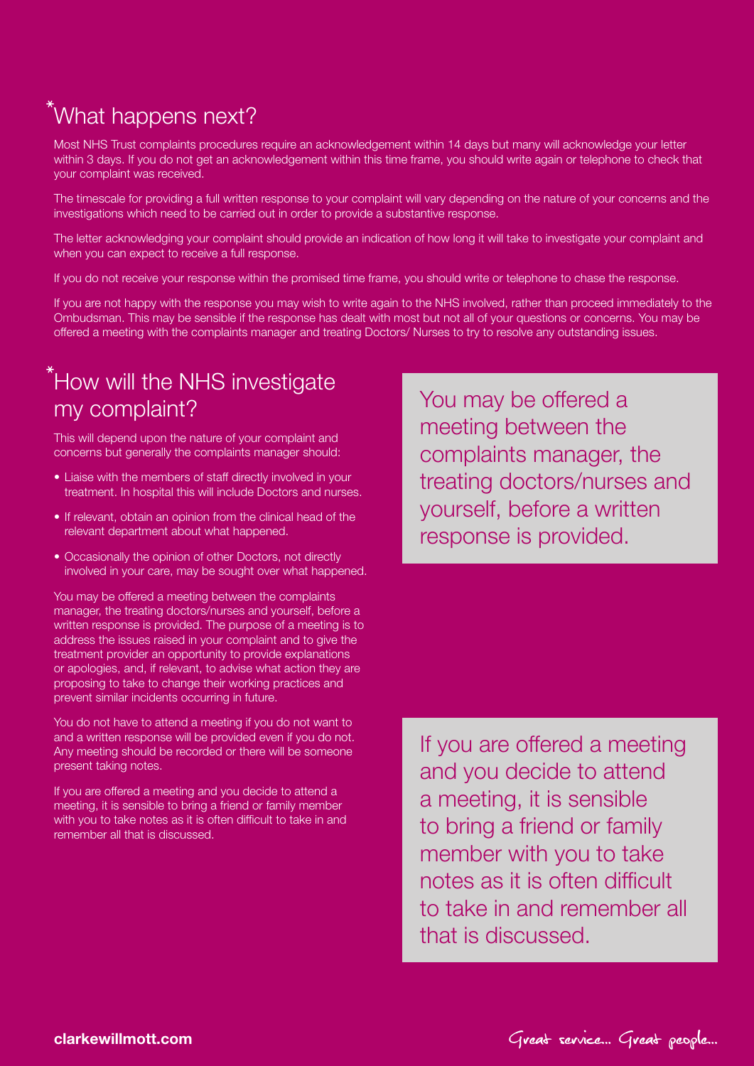## **What happens next?**

Most NHS Trust complaints procedures require an acknowledgement within 14 days but many will acknowledge your letter within 3 days. If you do not get an acknowledgement within this time frame, you should write again or telephone to check that your complaint was received.

The timescale for providing a full written response to your complaint will vary depending on the nature of your concerns and the investigations which need to be carried out in order to provide a substantive response.

The letter acknowledging your complaint should provide an indication of how long it will take to investigate your complaint and when you can expect to receive a full response.

If you do not receive your response within the promised time frame, you should write or telephone to chase the response.

If you are not happy with the response you may wish to write again to the NHS involved, rather than proceed immediately to the Ombudsman. This may be sensible if the response has dealt with most but not all of your questions or concerns. You may be offered a meeting with the complaints manager and treating Doctors/ Nurses to try to resolve any outstanding issues.

### How will the NHS investigate my complaint?

This will depend upon the nature of your complaint and concerns but generally the complaints manager should:

- Liaise with the members of staff directly involved in your treatment. In hospital this will include Doctors and nurses.
- If relevant, obtain an opinion from the clinical head of the relevant department about what happened.
- Occasionally the opinion of other Doctors, not directly involved in your care, may be sought over what happened.

You may be offered a meeting between the complaints manager, the treating doctors/nurses and yourself, before a written response is provided. The purpose of a meeting is to address the issues raised in your complaint and to give the treatment provider an opportunity to provide explanations or apologies, and, if relevant, to advise what action they are proposing to take to change their working practices and prevent similar incidents occurring in future.

You do not have to attend a meeting if you do not want to and a written response will be provided even if you do not. Any meeting should be recorded or there will be someone present taking notes.

If you are offered a meeting and you decide to attend a meeting, it is sensible to bring a friend or family member with you to take notes as it is often difficult to take in and remember all that is discussed.

You may be offered a meeting between the complaints manager, the treating doctors/nurses and yourself, before a written response is provided.

If you are offered a meeting and you decide to attend a meeting, it is sensible to bring a friend or family member with you to take notes as it is often difficult to take in and remember all that is discussed.

clarkewillmott.com Great service... Great people...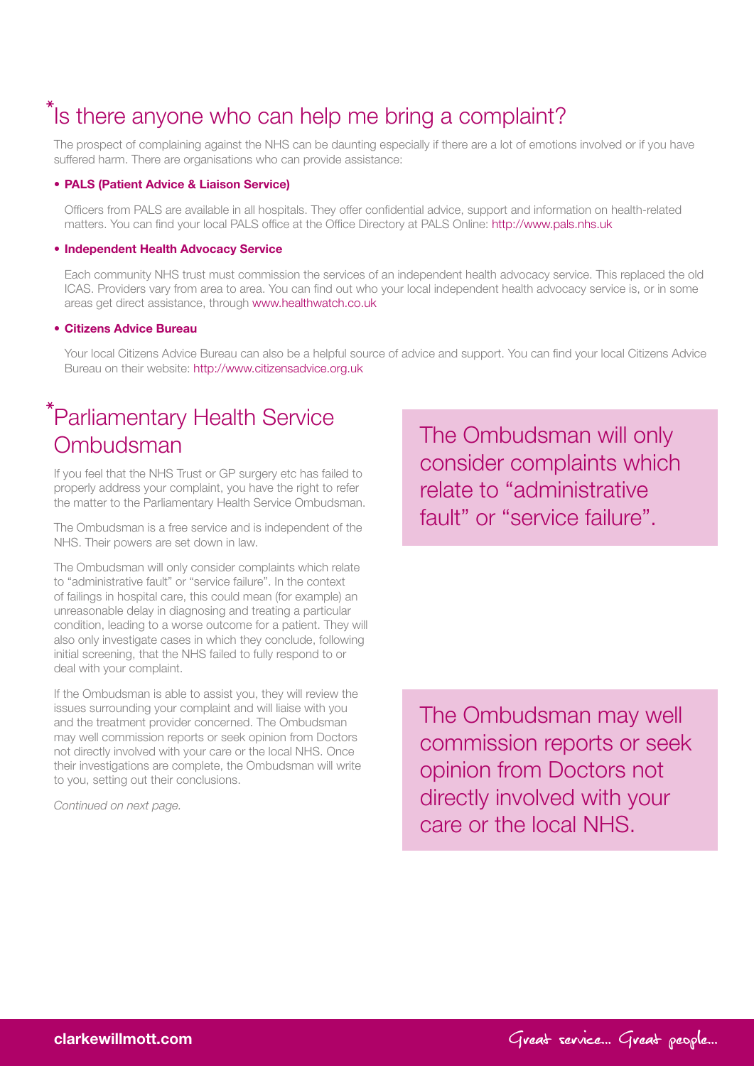### $\tilde{\ }$  is there anyone who can help me bring a complaint?

The prospect of complaining against the NHS can be daunting especially if there are a lot of emotions involved or if you have suffered harm. There are organisations who can provide assistance:

#### • PALS (Patient Advice & Liaison Service)

Officers from PALS are available in all hospitals. They offer confidential advice, support and information on health-related matters. You can find your local PALS office at the Office Directory at PALS Online: http://www.pals.nhs.uk

### • Independent Health Advocacy Service

Each community NHS trust must commission the services of an independent health advocacy service. This replaced the old ICAS. Providers vary from area to area. You can find out who your local independent health advocacy service is, or in some areas get direct assistance, through www.healthwatch.co.uk

#### • Citizens Advice Bureau

Your local Citizens Advice Bureau can also be a helpful source of advice and support. You can find your local Citizens Advice Bureau on their website: http://www.citizensadvice.org.uk

# **Ombudsman**

If you feel that the NHS Trust or GP surgery etc has failed to properly address your complaint, you have the right to refer the matter to the Parliamentary Health Service Ombudsman.

The Ombudsman is a free service and is independent of the NHS. Their powers are set down in law.

**Parliamentary Health Service**<br> **Combudsman**<br>
If you feel that the NHS Trust or GP surgery etc has faile<br>properly address your complaint, you have the right to r<br>
the matter to the Parliamentary Health Service Ombuds<br>
The The Ombudsman will only consider complaints which relate to "administrative fault" or "service failure". In the context of failings in hospital care, this could mean (for example) an unreasonable delay in diagnosing and treating a particular condition, leading to a worse outcome for a patient. They will also only investigate cases in which they conclude, following initial screening, that the NHS failed to fully respond to or deal with your complaint.

If the Ombudsman is able to assist you, they will review the issues surrounding your complaint and will liaise with you and the treatment provider concerned. The Ombudsman may well commission reports or seek opinion from Doctors not directly involved with your care or the local NHS. Once their investigations are complete, the Ombudsman will write to you, setting out their conclusions.

*Continued on next page.*

The Ombudsman will only consider complaints which relate to "administrative fault" or "service failure".

The Ombudsman may well commission reports or seek opinion from Doctors not directly involved with your care or the local NHS.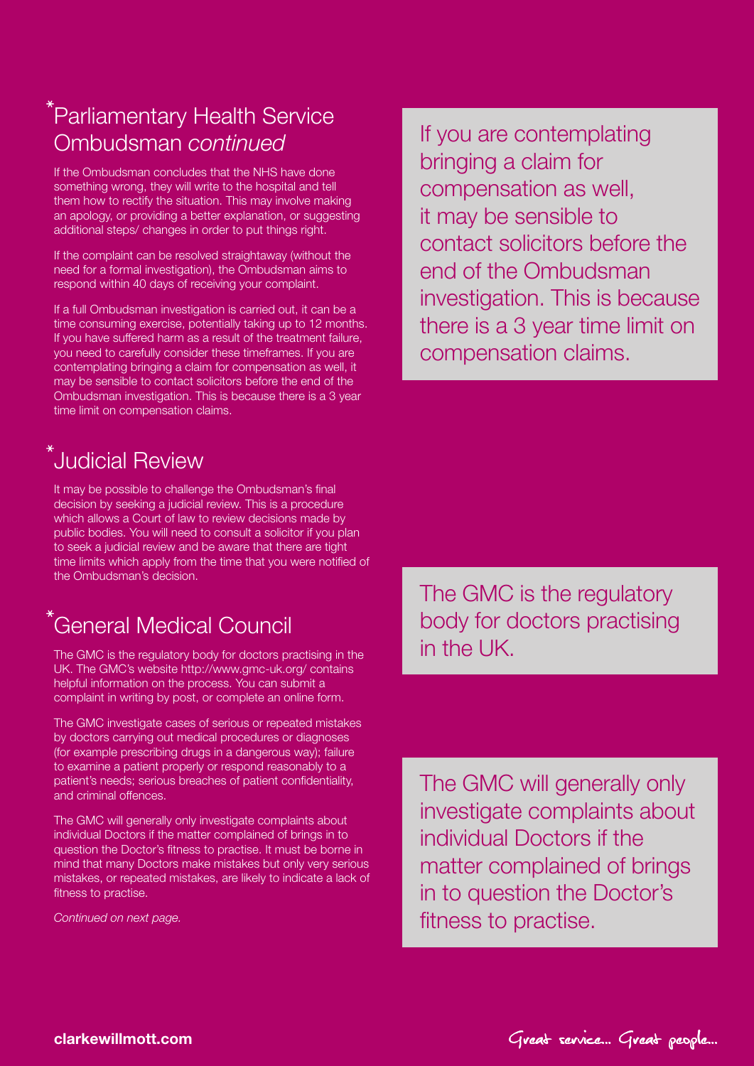### Parliamentary Health Service Ombudsman *continued*

If the Ombudsman concludes that the NHS have done something wrong, they will write to the hospital and tell them how to rectify the situation. This may involve making an apology, or providing a better explanation, or suggesting additional steps/ changes in order to put things right.

If the complaint can be resolved straightaway (without the need for a formal investigation), the Ombudsman aims to respond within 40 days of receiving your complaint.

If a full Ombudsman investigation is carried out, it can be a time consuming exercise, potentially taking up to 12 months. If you have suffered harm as a result of the treatment failure, you need to carefully consider these timeframes. If you are contemplating bringing a claim for compensation as well, it may be sensible to contact solicitors before the end of the Ombudsman investigation. This is because there is a 3 year time limit on compensation claims.

## Judicial Review

It may be possible to challenge the Ombudsman's final decision by seeking a judicial review. This is a procedure which allows a Court of law to review decisions made by public bodies. You will need to consult a solicitor if you plan to seek a judicial review and be aware that there are tight time limits which apply from the time that you were notified of the Ombudsman's decision.

## General Medical Council

The GMC is the regulatory body for doctors practising in the UK. The GMC's website http://www.gmc-uk.org/ contains helpful information on the process. You can submit a complaint in writing by post, or complete an online form.

The GMC investigate cases of serious or repeated mistakes by doctors carrying out medical procedures or diagnoses (for example prescribing drugs in a dangerous way); failure to examine a patient properly or respond reasonably to a patient's needs; serious breaches of patient confidentiality, and criminal offences.

The GMC will generally only investigate complaints about individual Doctors if the matter complained of brings in to question the Doctor's fitness to practise. It must be borne in mind that many Doctors make mistakes but only very serious mistakes, or repeated mistakes, are likely to indicate a lack of fitness to practise.

*Continued on next page.*

If you are contemplating bringing a claim for compensation as well, it may be sensible to contact solicitors before the end of the Ombudsman investigation. This is because there is a 3 year time limit on compensation claims.

body for doctors practising in the UK.

The GMC is the regulatory<br>
The GMC is the regulatory body for doctors practising<br>
UK. The GMC is the regulatory body for doctors practising<br>
UK. The GMC weight in the metal on the pockets in the metal on the pockets in the The GMC will generally only investigate complaints about individual Doctors if the matter complained of brings in to question the Doctor's fitness to practise.

Great service... Great people...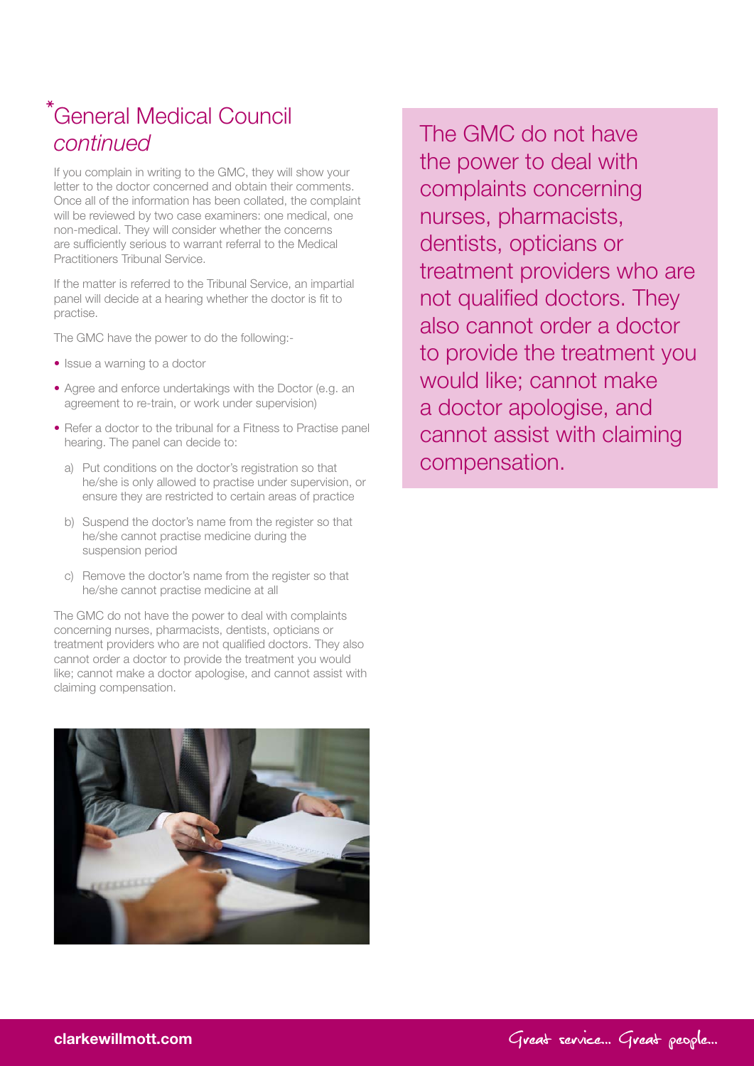### General Medical Council *continued*

If you complain in writing to the GMC, they will show your letter to the doctor concerned and obtain their comments. Once all of the information has been collated, the complaint will be reviewed by two case examiners: one medical, one non-medical. They will consider whether the concerns are sufficiently serious to warrant referral to the Medical Practitioners Tribunal Service.

If the matter is referred to the Tribunal Service, an impartial panel will decide at a hearing whether the doctor is fit to practise.

The GMC have the power to do the following:-

- Issue a warning to a doctor
- Agree and enforce undertakings with the Doctor (e.g. an agreement to re-train, or work under supervision)
- Refer a doctor to the tribunal for a Fitness to Practise panel hearing. The panel can decide to:
	- a) Put conditions on the doctor's registration so that he/she is only allowed to practise under supervision, or ensure they are restricted to certain areas of practice
	- b) Suspend the doctor's name from the register so that he/she cannot practise medicine during the suspension period
	- c) Remove the doctor's name from the register so that he/she cannot practise medicine at all

The GMC do not have the power to deal with complaints concerning nurses, pharmacists, dentists, opticians or treatment providers who are not qualified doctors. They also cannot order a doctor to provide the treatment you would like; cannot make a doctor apologise, and cannot assist with claiming compensation.



The GMC do not have the power to deal with complaints concerning nurses, pharmacists, dentists, opticians or treatment providers who are not qualified doctors. They also cannot order a doctor to provide the treatment you would like; cannot make a doctor apologise, and cannot assist with claiming compensation.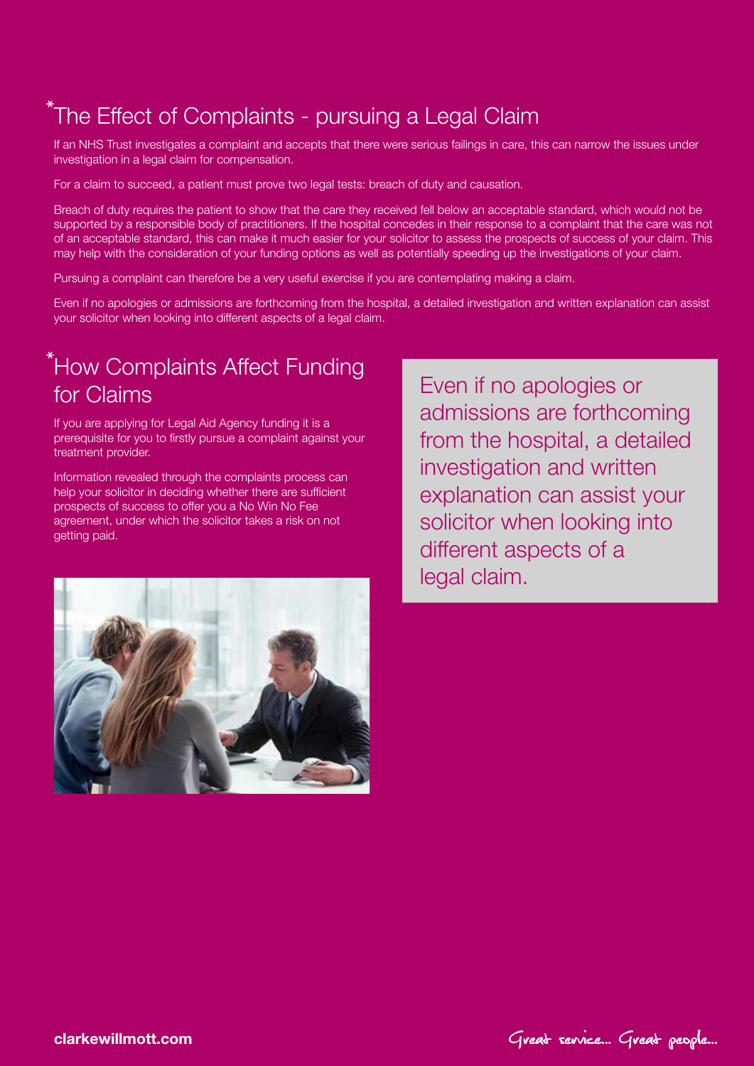## The Effect of Complaints - pursuing a Legal Claim

If an NHS Trust investigates a complaint and accepts that there were serious failings in care, this can narrow the issues under investigation in a legal claim for compensation.

For a claim to succeed, a patient must prove two legal tests: breach of duty and causation.

Breach of duty requires the patient to show that the care they received fell below an acceptable standard, which would not be supported by a responsible body of practitioners. If the hospital concedes in their response to a complaint that the care was not of an acceptable standard, this can make it much easier for your solicitor to assess the prospects of success of your claim. This may help with the consideration of your funding options as well as potentially speeding up the investigations of your claim.

Pursuing a complaint can therefore be a very useful exercise if you are contemplating making a claim.

Even if no apologies or admissions are forthcoming from the hospital, a detailed investigation and written explanation can assist your solicitor when looking into different aspects of a legal claim.

# for Claims

If you are applying for Legal Aid Agency funding it is a prerequisite for you to firstly pursue a complaint against your treatment provider.

Information revealed through the complaints process can help your solicitor in deciding whether there are sufficient prospects of success to offer you a No Win No Fee agreement, under which the solicitor takes a risk on not getting paid.



Even if no apologies or admissions are forthcoming from the hospital, a detailed investigation and written explanation can assist your solicitor when looking into different aspects of a legal claim.